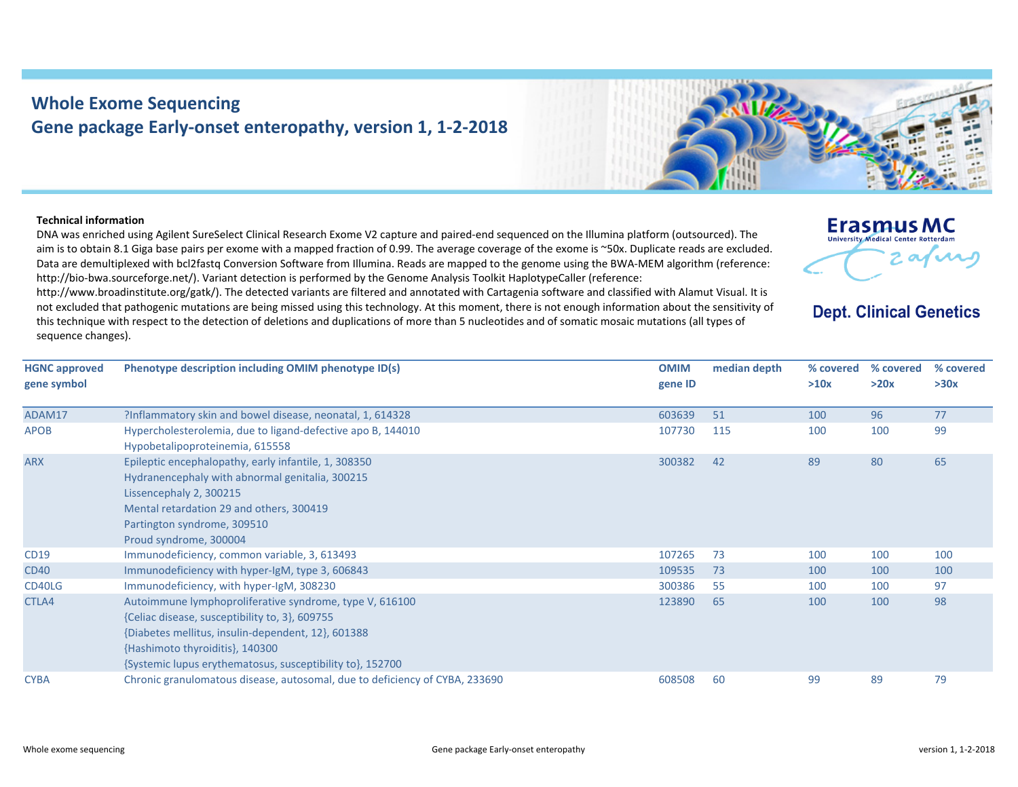## **Whole Exome Sequencing Gene package Early‐onset enteropathy, version 1, 1‐2‐2018**

## **Technical information**

DNA was enriched using Agilent SureSelect Clinical Research Exome V2 capture and paired‐end sequenced on the Illumina platform (outsourced). The aim is to obtain 8.1 Giga base pairs per exome with <sup>a</sup> mapped fraction of 0.99. The average coverage of the exome is ~50x. Duplicate reads are excluded. Data are demultiplexed with bcl2fastq Conversion Software from Illumina. Reads are mapped to the genome using the BWA‐MEM algorithm (reference: http://bio-bwa.sourceforge.net/). Variant detection is performed by the Genome Analysis Toolkit HaplotypeCaller (reference:

http://www.broadinstitute.org/gatk/). The detected variants are filtered and annotated with Cartagenia software and classified with Alamut Visual. It is not excludedd that pathogenic mutations are being missed using this technology. At this moment, there is not enough information about the sensitivity of this technique with respect to the detection of deletions and duplications of more than 5 nucleotides and of somatic mosaic mutations (all types of sequence changes).

| otyne description including OMIM phenotyne ID(s)                                                                               | <b>OMIM</b> | median di |
|--------------------------------------------------------------------------------------------------------------------------------|-------------|-----------|
|                                                                                                                                |             |           |
|                                                                                                                                |             |           |
| ect to the detection of deletions and duplications of more than 5 nucleotides and of somatic mosaic mutations (all types of    |             |           |
| lgenic mutations are being missed using this technology. At this moment, there is not enough information about the sensitivity |             |           |



## **Erasmus MC** University Medical Center Rotterdam

## **Dept. Clinical Genetics**

| <b>HGNC approved</b> | Phenotype description including OMIM phenotype ID(s)                                                                                                                                                                                                            | <b>OMIM</b> | median depth | % covered | % covered | % covered |
|----------------------|-----------------------------------------------------------------------------------------------------------------------------------------------------------------------------------------------------------------------------------------------------------------|-------------|--------------|-----------|-----------|-----------|
| gene symbol          |                                                                                                                                                                                                                                                                 | gene ID     |              | >10x      | >20x      | >30x      |
| ADAM17               | ?Inflammatory skin and bowel disease, neonatal, 1, 614328                                                                                                                                                                                                       | 603639      | 51           | 100       | 96        | 77        |
| <b>APOB</b>          | Hypercholesterolemia, due to ligand-defective apo B, 144010<br>Hypobetalipoproteinemia, 615558                                                                                                                                                                  | 107730      | 115          | 100       | 100       | 99        |
| <b>ARX</b>           | Epileptic encephalopathy, early infantile, 1, 308350<br>Hydranencephaly with abnormal genitalia, 300215<br>Lissencephaly 2, 300215<br>Mental retardation 29 and others, 300419<br>Partington syndrome, 309510<br>Proud syndrome, 300004                         | 300382      | 42           | 89        | 80        | 65        |
| CD19                 | Immunodeficiency, common variable, 3, 613493                                                                                                                                                                                                                    | 107265      | 73           | 100       | 100       | 100       |
| <b>CD40</b>          | Immunodeficiency with hyper-IgM, type 3, 606843                                                                                                                                                                                                                 | 109535      | 73           | 100       | 100       | 100       |
| CD40LG               | Immunodeficiency, with hyper-lgM, 308230                                                                                                                                                                                                                        | 300386      | 55           | 100       | 100       | 97        |
| CTLA4                | Autoimmune lymphoproliferative syndrome, type V, 616100<br>{Celiac disease, susceptibility to, 3}, 609755<br>{Diabetes mellitus, insulin-dependent, 12}, 601388<br>{Hashimoto thyroiditis}, 140300<br>{Systemic lupus erythematosus, susceptibility to}, 152700 | 123890      | 65           | 100       | 100       | 98        |
| <b>CYBA</b>          | Chronic granulomatous disease, autosomal, due to deficiency of CYBA, 233690                                                                                                                                                                                     | 608508      | 60           | 99        | 89        | 79        |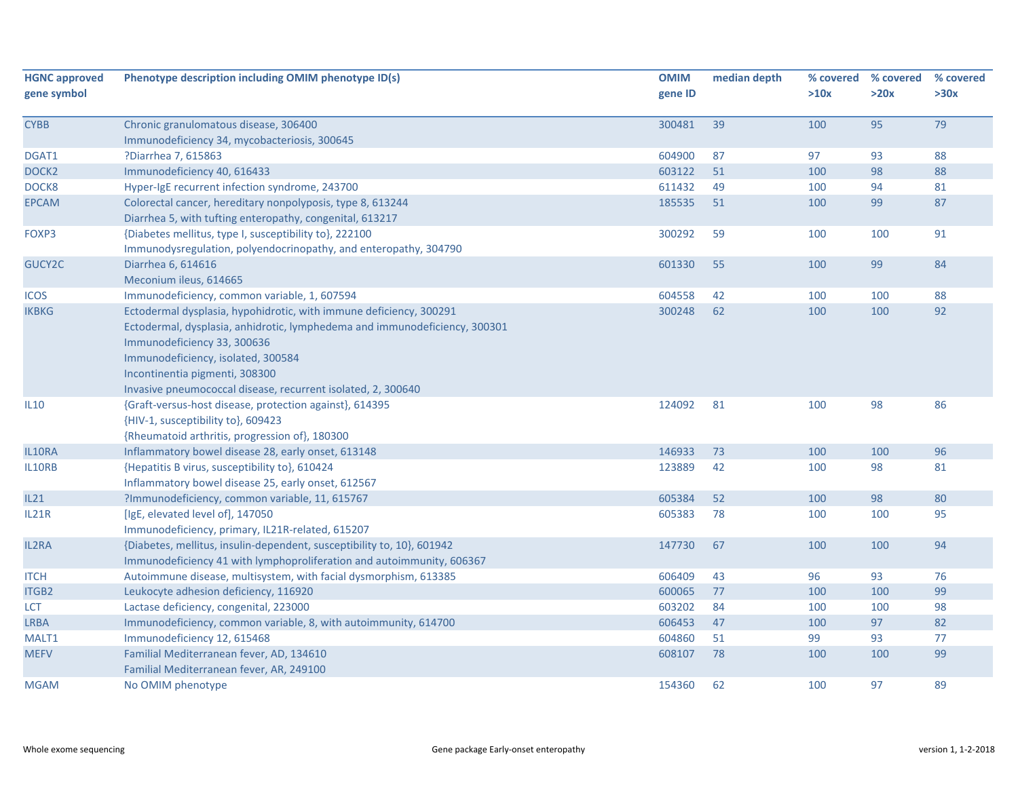| gene symbol<br>gene ID<br>>10x<br>>20x<br>>30x<br>79<br>Chronic granulomatous disease, 306400<br>300481<br>39<br>100<br>95<br><b>CYBB</b><br>Immunodeficiency 34, mycobacteriosis, 300645<br>604900<br>87<br>97<br>93<br>88<br>DGAT1<br>?Diarrhea 7, 615863<br>603122<br>51<br>100<br>98<br>88<br>DOCK <sub>2</sub><br>Immunodeficiency 40, 616433<br>DOCK8<br>Hyper-IgE recurrent infection syndrome, 243700<br>611432<br>49<br>100<br>94<br>81<br>185535<br>100<br>99<br>87<br><b>EPCAM</b><br>Colorectal cancer, hereditary nonpolyposis, type 8, 613244<br>51<br>Diarrhea 5, with tufting enteropathy, congenital, 613217<br>FOXP3<br>{Diabetes mellitus, type I, susceptibility to}, 222100<br>300292<br>59<br>100<br>100<br>91 | % covered |
|--------------------------------------------------------------------------------------------------------------------------------------------------------------------------------------------------------------------------------------------------------------------------------------------------------------------------------------------------------------------------------------------------------------------------------------------------------------------------------------------------------------------------------------------------------------------------------------------------------------------------------------------------------------------------------------------------------------------------------------|-----------|
|                                                                                                                                                                                                                                                                                                                                                                                                                                                                                                                                                                                                                                                                                                                                      |           |
|                                                                                                                                                                                                                                                                                                                                                                                                                                                                                                                                                                                                                                                                                                                                      |           |
|                                                                                                                                                                                                                                                                                                                                                                                                                                                                                                                                                                                                                                                                                                                                      |           |
|                                                                                                                                                                                                                                                                                                                                                                                                                                                                                                                                                                                                                                                                                                                                      |           |
|                                                                                                                                                                                                                                                                                                                                                                                                                                                                                                                                                                                                                                                                                                                                      |           |
|                                                                                                                                                                                                                                                                                                                                                                                                                                                                                                                                                                                                                                                                                                                                      |           |
|                                                                                                                                                                                                                                                                                                                                                                                                                                                                                                                                                                                                                                                                                                                                      |           |
|                                                                                                                                                                                                                                                                                                                                                                                                                                                                                                                                                                                                                                                                                                                                      |           |
|                                                                                                                                                                                                                                                                                                                                                                                                                                                                                                                                                                                                                                                                                                                                      |           |
| Immunodysregulation, polyendocrinopathy, and enteropathy, 304790                                                                                                                                                                                                                                                                                                                                                                                                                                                                                                                                                                                                                                                                     |           |
| GUCY2C<br>601330<br>55<br>100<br>99<br>84<br>Diarrhea 6, 614616                                                                                                                                                                                                                                                                                                                                                                                                                                                                                                                                                                                                                                                                      |           |
| Meconium ileus, 614665                                                                                                                                                                                                                                                                                                                                                                                                                                                                                                                                                                                                                                                                                                               |           |
| 88<br><b>ICOS</b><br>Immunodeficiency, common variable, 1, 607594<br>604558<br>42<br>100<br>100                                                                                                                                                                                                                                                                                                                                                                                                                                                                                                                                                                                                                                      |           |
| 300248<br>62<br>100<br>100<br>92<br><b>IKBKG</b><br>Ectodermal dysplasia, hypohidrotic, with immune deficiency, 300291                                                                                                                                                                                                                                                                                                                                                                                                                                                                                                                                                                                                               |           |
| Ectodermal, dysplasia, anhidrotic, lymphedema and immunodeficiency, 300301                                                                                                                                                                                                                                                                                                                                                                                                                                                                                                                                                                                                                                                           |           |
| Immunodeficiency 33, 300636                                                                                                                                                                                                                                                                                                                                                                                                                                                                                                                                                                                                                                                                                                          |           |
| Immunodeficiency, isolated, 300584                                                                                                                                                                                                                                                                                                                                                                                                                                                                                                                                                                                                                                                                                                   |           |
| Incontinentia pigmenti, 308300                                                                                                                                                                                                                                                                                                                                                                                                                                                                                                                                                                                                                                                                                                       |           |
| Invasive pneumococcal disease, recurrent isolated, 2, 300640                                                                                                                                                                                                                                                                                                                                                                                                                                                                                                                                                                                                                                                                         |           |
| 124092<br>86<br>{Graft-versus-host disease, protection against}, 614395<br>81<br>100<br>98<br><b>IL10</b>                                                                                                                                                                                                                                                                                                                                                                                                                                                                                                                                                                                                                            |           |
| {HIV-1, susceptibility to}, 609423                                                                                                                                                                                                                                                                                                                                                                                                                                                                                                                                                                                                                                                                                                   |           |
| {Rheumatoid arthritis, progression of}, 180300                                                                                                                                                                                                                                                                                                                                                                                                                                                                                                                                                                                                                                                                                       |           |
| IL10RA<br>Inflammatory bowel disease 28, early onset, 613148<br>146933<br>73<br>100<br>100<br>96                                                                                                                                                                                                                                                                                                                                                                                                                                                                                                                                                                                                                                     |           |
| 123889<br>42<br>IL10RB<br>{Hepatitis B virus, susceptibility to}, 610424<br>100<br>98<br>81                                                                                                                                                                                                                                                                                                                                                                                                                                                                                                                                                                                                                                          |           |
| Inflammatory bowel disease 25, early onset, 612567                                                                                                                                                                                                                                                                                                                                                                                                                                                                                                                                                                                                                                                                                   |           |
| IL21<br>?Immunodeficiency, common variable, 11, 615767<br>605384<br>52<br>98<br>80<br>100                                                                                                                                                                                                                                                                                                                                                                                                                                                                                                                                                                                                                                            |           |
| [IgE, elevated level of], 147050<br><b>IL21R</b><br>605383<br>78<br>100<br>95<br>100                                                                                                                                                                                                                                                                                                                                                                                                                                                                                                                                                                                                                                                 |           |
| Immunodeficiency, primary, IL21R-related, 615207                                                                                                                                                                                                                                                                                                                                                                                                                                                                                                                                                                                                                                                                                     |           |
| 147730<br>94<br><b>IL2RA</b><br>{Diabetes, mellitus, insulin-dependent, susceptibility to, 10}, 601942<br>67<br>100<br>100                                                                                                                                                                                                                                                                                                                                                                                                                                                                                                                                                                                                           |           |
| Immunodeficiency 41 with lymphoproliferation and autoimmunity, 606367                                                                                                                                                                                                                                                                                                                                                                                                                                                                                                                                                                                                                                                                |           |
| 43<br>93<br><b>ITCH</b><br>Autoimmune disease, multisystem, with facial dysmorphism, 613385<br>606409<br>96<br>76                                                                                                                                                                                                                                                                                                                                                                                                                                                                                                                                                                                                                    |           |
| 99<br>Leukocyte adhesion deficiency, 116920<br>600065<br>77<br>100<br>100<br>ITGB2                                                                                                                                                                                                                                                                                                                                                                                                                                                                                                                                                                                                                                                   |           |
| 603202<br><b>LCT</b><br>Lactase deficiency, congenital, 223000<br>84<br>100<br>100<br>98                                                                                                                                                                                                                                                                                                                                                                                                                                                                                                                                                                                                                                             |           |
| 606453<br>97<br>82<br><b>LRBA</b><br>Immunodeficiency, common variable, 8, with autoimmunity, 614700<br>47<br>100                                                                                                                                                                                                                                                                                                                                                                                                                                                                                                                                                                                                                    |           |
| 99<br>93<br>77<br>MALT1<br>Immunodeficiency 12, 615468<br>604860<br>51                                                                                                                                                                                                                                                                                                                                                                                                                                                                                                                                                                                                                                                               |           |
| Familial Mediterranean fever, AD, 134610<br>99<br><b>MEFV</b><br>608107<br>78<br>100<br>100                                                                                                                                                                                                                                                                                                                                                                                                                                                                                                                                                                                                                                          |           |
| Familial Mediterranean fever, AR, 249100                                                                                                                                                                                                                                                                                                                                                                                                                                                                                                                                                                                                                                                                                             |           |
| 154360<br>62<br>100<br>97<br>89<br><b>MGAM</b><br>No OMIM phenotype                                                                                                                                                                                                                                                                                                                                                                                                                                                                                                                                                                                                                                                                  |           |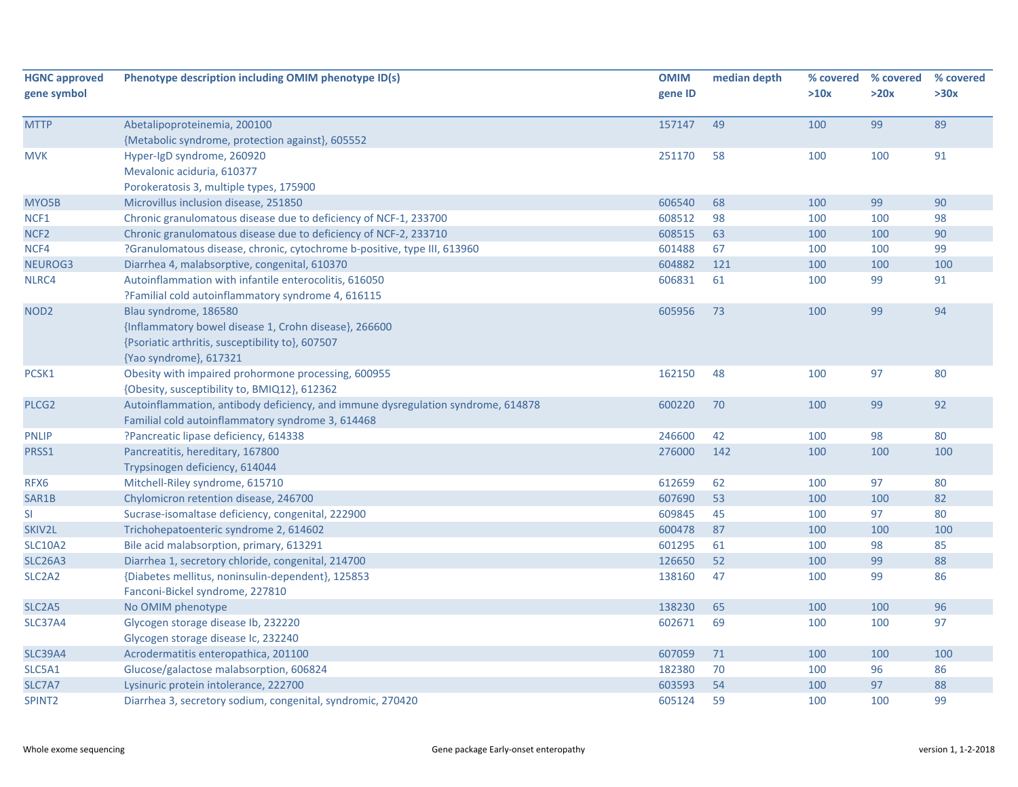| <b>HGNC approved</b><br>gene symbol | Phenotype description including OMIM phenotype ID(s)                             | <b>OMIM</b><br>gene ID | median depth | % covered<br>>10x | % covered<br>>20x | % covered<br>>30x |
|-------------------------------------|----------------------------------------------------------------------------------|------------------------|--------------|-------------------|-------------------|-------------------|
|                                     |                                                                                  |                        |              |                   |                   |                   |
| <b>MTTP</b>                         | Abetalipoproteinemia, 200100                                                     | 157147                 | 49           | 100               | 99                | 89                |
|                                     | {Metabolic syndrome, protection against}, 605552                                 |                        |              |                   |                   |                   |
| <b>MVK</b>                          | Hyper-IgD syndrome, 260920                                                       | 251170                 | 58           | 100               | 100               | 91                |
|                                     | Mevalonic aciduria, 610377                                                       |                        |              |                   |                   |                   |
|                                     | Porokeratosis 3, multiple types, 175900                                          |                        |              |                   |                   |                   |
| MYO5B                               | Microvillus inclusion disease, 251850                                            | 606540                 | 68           | 100               | 99                | 90                |
| NCF1                                | Chronic granulomatous disease due to deficiency of NCF-1, 233700                 | 608512                 | 98           | 100               | 100               | 98                |
| NCF <sub>2</sub>                    | Chronic granulomatous disease due to deficiency of NCF-2, 233710                 | 608515                 | 63           | 100               | 100               | 90                |
| NCF4                                | ?Granulomatous disease, chronic, cytochrome b-positive, type III, 613960         | 601488                 | 67           | 100               | 100               | 99                |
| NEUROG3                             | Diarrhea 4, malabsorptive, congenital, 610370                                    | 604882                 | 121          | 100               | 100               | 100               |
| NLRC4                               | Autoinflammation with infantile enterocolitis, 616050                            | 606831                 | 61           | 100               | 99                | 91                |
|                                     | ?Familial cold autoinflammatory syndrome 4, 616115                               |                        |              |                   |                   |                   |
| NOD <sub>2</sub>                    | Blau syndrome, 186580                                                            | 605956                 | 73           | 100               | 99                | 94                |
|                                     | {Inflammatory bowel disease 1, Crohn disease}, 266600                            |                        |              |                   |                   |                   |
|                                     | {Psoriatic arthritis, susceptibility to}, 607507                                 |                        |              |                   |                   |                   |
|                                     | {Yao syndrome}, 617321                                                           |                        |              |                   |                   |                   |
| PCSK1                               | Obesity with impaired prohormone processing, 600955                              | 162150                 | 48           | 100               | 97                | 80                |
|                                     | {Obesity, susceptibility to, BMIQ12}, 612362                                     |                        |              |                   |                   |                   |
| PLCG <sub>2</sub>                   | Autoinflammation, antibody deficiency, and immune dysregulation syndrome, 614878 | 600220                 | 70           | 100               | 99                | 92                |
|                                     | Familial cold autoinflammatory syndrome 3, 614468                                |                        |              |                   |                   |                   |
| <b>PNLIP</b>                        | ?Pancreatic lipase deficiency, 614338                                            | 246600                 | 42           | 100               | 98                | 80                |
| PRSS1                               | Pancreatitis, hereditary, 167800                                                 | 276000                 | 142          | 100               | 100               | 100               |
|                                     | Trypsinogen deficiency, 614044                                                   |                        |              |                   |                   |                   |
| RFX6                                | Mitchell-Riley syndrome, 615710                                                  | 612659                 | 62           | 100               | 97                | 80                |
| SAR1B                               | Chylomicron retention disease, 246700                                            | 607690                 | 53           | 100               | 100               | 82                |
| <b>SI</b>                           | Sucrase-isomaltase deficiency, congenital, 222900                                | 609845                 | 45           | 100               | 97                | 80                |
| SKIV2L                              | Trichohepatoenteric syndrome 2, 614602                                           | 600478                 | 87           | 100               | 100               | 100               |
| <b>SLC10A2</b>                      | Bile acid malabsorption, primary, 613291                                         | 601295                 | 61           | 100               | 98                | 85                |
| <b>SLC26A3</b>                      | Diarrhea 1, secretory chloride, congenital, 214700                               | 126650                 | 52           | 100               | 99                | 88                |
| SLC <sub>2</sub> A <sub>2</sub>     | {Diabetes mellitus, noninsulin-dependent}, 125853                                | 138160                 | 47           | 100               | 99                | 86                |
|                                     | Fanconi-Bickel syndrome, 227810                                                  |                        |              |                   |                   |                   |
| SLC <sub>2</sub> A <sub>5</sub>     | No OMIM phenotype                                                                | 138230                 | 65           | 100               | 100               | 96                |
| <b>SLC37A4</b>                      | Glycogen storage disease Ib, 232220                                              | 602671                 | 69           | 100               | 100               | 97                |
|                                     | Glycogen storage disease Ic, 232240                                              |                        |              |                   |                   |                   |
| <b>SLC39A4</b>                      | Acrodermatitis enteropathica, 201100                                             | 607059                 | 71           | 100               | 100               | 100               |
| SLC5A1                              | Glucose/galactose malabsorption, 606824                                          | 182380                 | 70           | 100               | 96                | 86                |
| SLC7A7                              | Lysinuric protein intolerance, 222700                                            | 603593                 | 54           | 100               | 97                | 88                |
| SPINT <sub>2</sub>                  | Diarrhea 3, secretory sodium, congenital, syndromic, 270420                      | 605124                 | 59           | 100               | 100               | 99                |